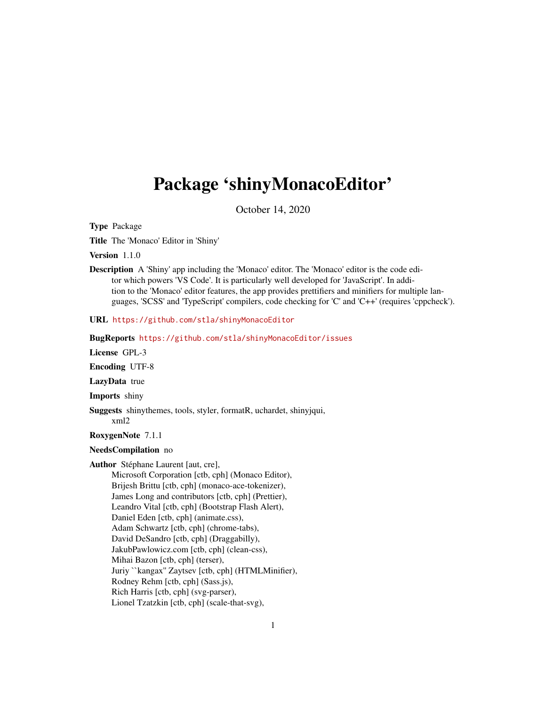## Package 'shinyMonacoEditor'

October 14, 2020

Type Package

Title The 'Monaco' Editor in 'Shiny'

Version 1.1.0

Description A 'Shiny' app including the 'Monaco' editor. The 'Monaco' editor is the code editor which powers 'VS Code'. It is particularly well developed for 'JavaScript'. In addition to the 'Monaco' editor features, the app provides prettifiers and minifiers for multiple languages, 'SCSS' and 'TypeScript' compilers, code checking for 'C' and 'C++' (requires 'cppcheck').

URL <https://github.com/stla/shinyMonacoEditor>

BugReports <https://github.com/stla/shinyMonacoEditor/issues>

License GPL-3

Encoding UTF-8

LazyData true

Imports shiny

Suggests shinythemes, tools, styler, formatR, uchardet, shinyjqui, xml2

RoxygenNote 7.1.1

#### NeedsCompilation no

Author Stéphane Laurent [aut, cre],

Microsoft Corporation [ctb, cph] (Monaco Editor), Brijesh Brittu [ctb, cph] (monaco-ace-tokenizer), James Long and contributors [ctb, cph] (Prettier), Leandro Vital [ctb, cph] (Bootstrap Flash Alert), Daniel Eden [ctb, cph] (animate.css), Adam Schwartz [ctb, cph] (chrome-tabs), David DeSandro [ctb, cph] (Draggabilly), JakubPawlowicz.com [ctb, cph] (clean-css), Mihai Bazon [ctb, cph] (terser), Juriy ``kangax'' Zaytsev [ctb, cph] (HTMLMinifier), Rodney Rehm [ctb, cph] (Sass.js), Rich Harris [ctb, cph] (svg-parser), Lionel Tzatzkin [ctb, cph] (scale-that-svg),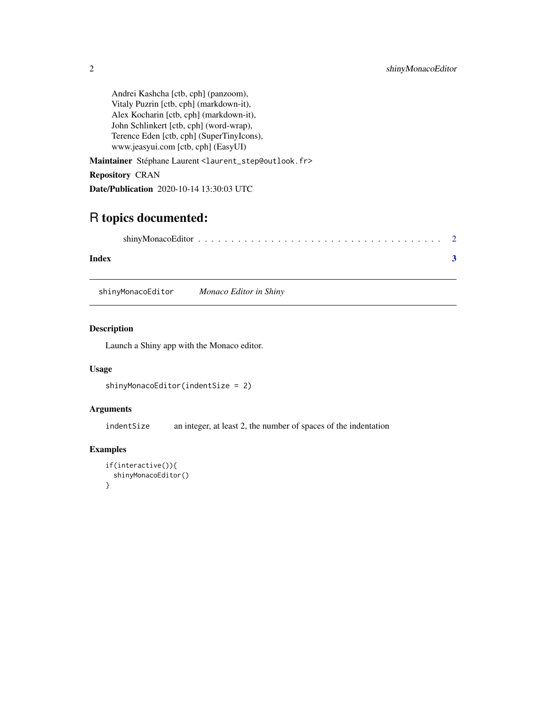<span id="page-1-0"></span>Andrei Kashcha [ctb, cph] (panzoom), Vitaly Puzrin [ctb, cph] (markdown-it), Alex Kocharin [ctb, cph] (markdown-it), John Schlinkert [ctb, cph] (word-wrap), Terence Eden [ctb, cph] (SuperTinyIcons), www.jeasyui.com [ctb, cph] (EasyUI)

Maintainer Stéphane Laurent <laurent\_step@outlook.fr>

Repository CRAN

Date/Publication 2020-10-14 13:30:03 UTC

### R topics documented:

| Index |  |
|-------|--|

shinyMonacoEditor *Monaco Editor in Shiny*

#### Description

Launch a Shiny app with the Monaco editor.

#### Usage

```
shinyMonacoEditor(indentSize = 2)
```
#### Arguments

indentSize an integer, at least 2, the number of spaces of the indentation

#### Examples

```
if(interactive()){
 shinyMonacoEditor()
}
```